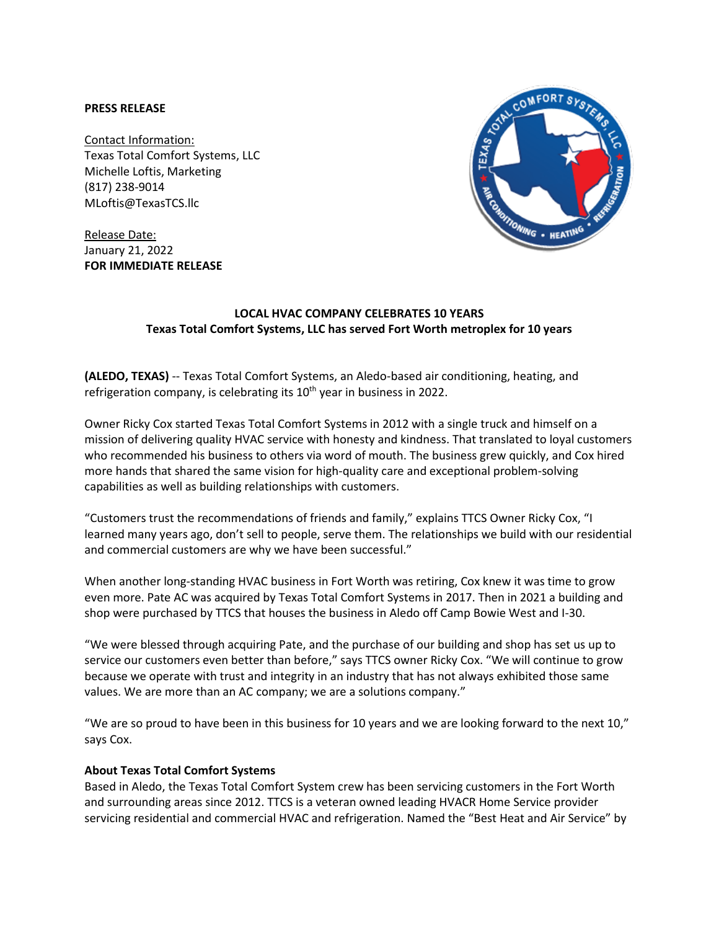## **PRESS RELEASE**

Contact Information: Texas Total Comfort Systems, LLC Michelle Loftis, Marketing (817) 238-9014 MLoftis@TexasTCS.llc

Release Date: January 21, 2022 **FOR IMMEDIATE RELEASE**



## **LOCAL HVAC COMPANY CELEBRATES 10 YEARS Texas Total Comfort Systems, LLC has served Fort Worth metroplex for 10 years**

**(ALEDO, TEXAS)** -- Texas Total Comfort Systems, an Aledo-based air conditioning, heating, and refrigeration company, is celebrating its 10<sup>th</sup> year in business in 2022.

Owner Ricky Cox started Texas Total Comfort Systems in 2012 with a single truck and himself on a mission of delivering quality HVAC service with honesty and kindness. That translated to loyal customers who recommended his business to others via word of mouth. The business grew quickly, and Cox hired more hands that shared the same vision for high-quality care and exceptional problem-solving capabilities as well as building relationships with customers.

"Customers trust the recommendations of friends and family," explains TTCS Owner Ricky Cox, "I learned many years ago, don't sell to people, serve them. The relationships we build with our residential and commercial customers are why we have been successful."

When another long-standing HVAC business in Fort Worth was retiring, Cox knew it was time to grow even more. Pate AC was acquired by Texas Total Comfort Systems in 2017. Then in 2021 a building and shop were purchased by TTCS that houses the business in Aledo off Camp Bowie West and I-30.

"We were blessed through acquiring Pate, and the purchase of our building and shop has set us up to service our customers even better than before," says TTCS owner Ricky Cox. "We will continue to grow because we operate with trust and integrity in an industry that has not always exhibited those same values. We are more than an AC company; we are a solutions company."

"We are so proud to have been in this business for 10 years and we are looking forward to the next 10," says Cox.

## **About Texas Total Comfort Systems**

Based in Aledo, the Texas Total Comfort System crew has been servicing customers in the Fort Worth and surrounding areas since 2012. TTCS is a veteran owned leading HVACR Home Service provider servicing residential and commercial HVAC and refrigeration. Named the "Best Heat and Air Service" by